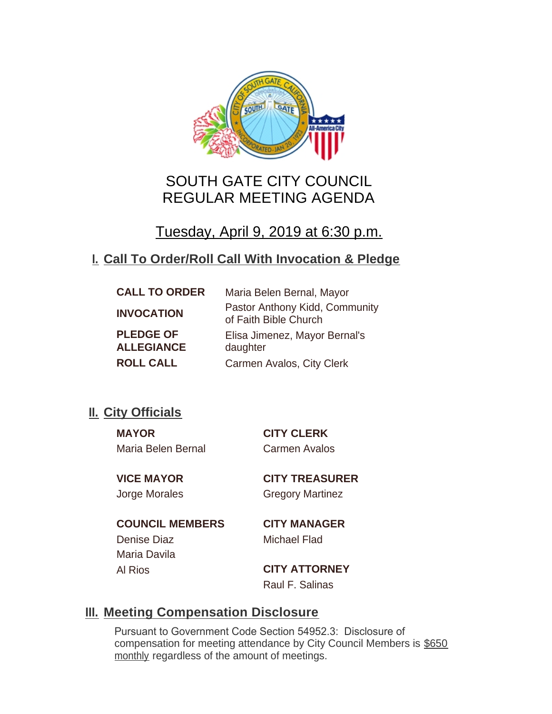

# SOUTH GATE CITY COUNCIL REGULAR MEETING AGENDA

# Tuesday, April 9, 2019 at 6:30 p.m.

# **Call To Order/Roll Call With Invocation & Pledge I.**

| <b>CALL TO ORDER</b> | Maria Belen Bernal, Mayor                               |
|----------------------|---------------------------------------------------------|
| <b>INVOCATION</b>    | Pastor Anthony Kidd, Community<br>of Faith Bible Church |
| <b>PLEDGE OF</b>     | Elisa Jimenez, Mayor Bernal's                           |
| <b>ALLEGIANCE</b>    | daughter                                                |
| <b>ROLL CALL</b>     | Carmen Avalos, City Clerk                               |

# **II.** City Officials

**MAYOR CITY CLERK** Maria Belen Bernal Carmen Avalos

**VICE MAYOR CITY TREASURER** Jorge Morales Gregory Martinez

**COUNCIL MEMBERS CITY MANAGER** Denise Diaz Michael Flad Maria Davila

Al Rios **CITY ATTORNEY** Raul F. Salinas

# **Meeting Compensation Disclosure III.**

Pursuant to Government Code Section 54952.3: Disclosure of compensation for meeting attendance by City Council Members is \$650 monthly regardless of the amount of meetings.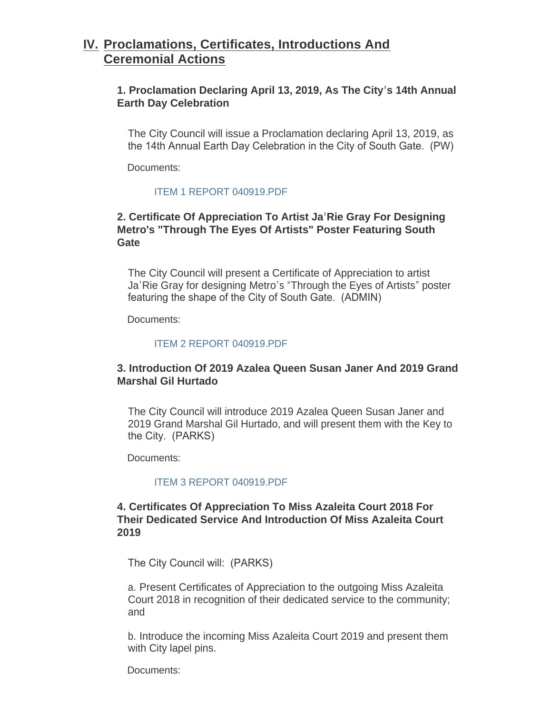## **Proclamations, Certificates, Introductions And IV. Ceremonial Actions**

#### **1. Proclamation Declaring April 13, 2019, As The City's 14th Annual Earth Day Celebration**

The City Council will issue a Proclamation declaring April 13, 2019, as the 14th Annual Earth Day Celebration in the City of South Gate. (PW)

Documents:

#### [ITEM 1 REPORT 040919.PDF](http://ca-southgate.civicplus.com/AgendaCenter/ViewFile/Item/7403?fileID=17685)

#### **2. Certificate Of Appreciation To Artist Ja'Rie Gray For Designing Metro's "Through The Eyes Of Artists" Poster Featuring South Gate**

The City Council will present a Certificate of Appreciation to artist Ja'Rie Gray for designing Metro's "Through the Eyes of Artists" poster featuring the shape of the City of South Gate. (ADMIN)

Documents:

#### [ITEM 2 REPORT 040919.PDF](http://ca-southgate.civicplus.com/AgendaCenter/ViewFile/Item/7393?fileID=17675)

#### **3. Introduction Of 2019 Azalea Queen Susan Janer And 2019 Grand Marshal Gil Hurtado**

The City Council will introduce 2019 Azalea Queen Susan Janer and 2019 Grand Marshal Gil Hurtado, and will present them with the Key to the City. (PARKS)

Documents:

#### [ITEM 3 REPORT 040919.PDF](http://ca-southgate.civicplus.com/AgendaCenter/ViewFile/Item/7394?fileID=17676)

#### **4. Certificates Of Appreciation To Miss Azaleita Court 2018 For Their Dedicated Service And Introduction Of Miss Azaleita Court 2019**

The City Council will: (PARKS)

a. Present Certificates of Appreciation to the outgoing Miss Azaleita Court 2018 in recognition of their dedicated service to the community; and

b. Introduce the incoming Miss Azaleita Court 2019 and present them with City lapel pins.

Documents: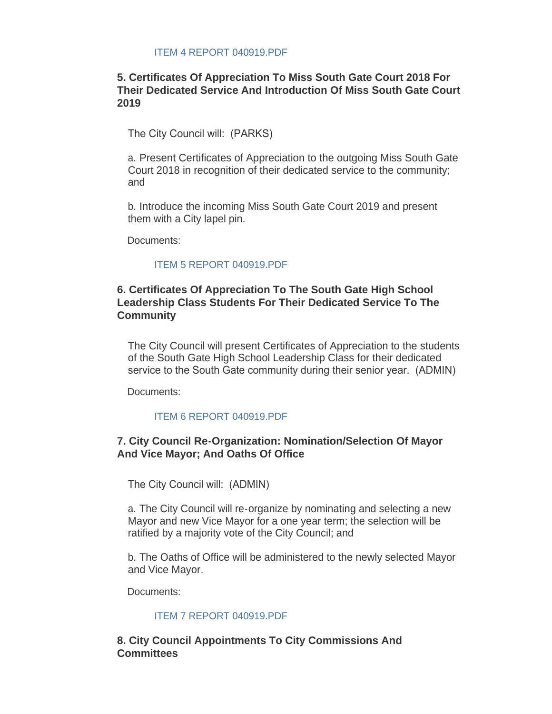#### [ITEM 4 REPORT 040919.PDF](http://ca-southgate.civicplus.com/AgendaCenter/ViewFile/Item/7395?fileID=17677)

#### **5. Certificates Of Appreciation To Miss South Gate Court 2018 For Their Dedicated Service And Introduction Of Miss South Gate Court 2019**

The City Council will: (PARKS)

a. Present Certificates of Appreciation to the outgoing Miss South Gate Court 2018 in recognition of their dedicated service to the community; and

b. Introduce the incoming Miss South Gate Court 2019 and present them with a City lapel pin.

Documents:

#### [ITEM 5 REPORT 040919.PDF](http://ca-southgate.civicplus.com/AgendaCenter/ViewFile/Item/7396?fileID=17678)

#### **6. Certificates Of Appreciation To The South Gate High School Leadership Class Students For Their Dedicated Service To The Community**

The City Council will present Certificates of Appreciation to the students of the South Gate High School Leadership Class for their dedicated service to the South Gate community during their senior year. (ADMIN)

Documents:

#### [ITEM 6 REPORT 040919.PDF](http://ca-southgate.civicplus.com/AgendaCenter/ViewFile/Item/7397?fileID=17679)

#### **7. City Council Re-Organization: Nomination/Selection Of Mayor And Vice Mayor; And Oaths Of Office**

The City Council will: (ADMIN)

a. The City Council will re-organize by nominating and selecting a new Mayor and new Vice Mayor for a one year term; the selection will be ratified by a majority vote of the City Council; and

b. The Oaths of Office will be administered to the newly selected Mayor and Vice Mayor.

Documents:

#### [ITEM 7 REPORT 040919.PDF](http://ca-southgate.civicplus.com/AgendaCenter/ViewFile/Item/7398?fileID=17680)

**8. City Council Appointments To City Commissions And Committees**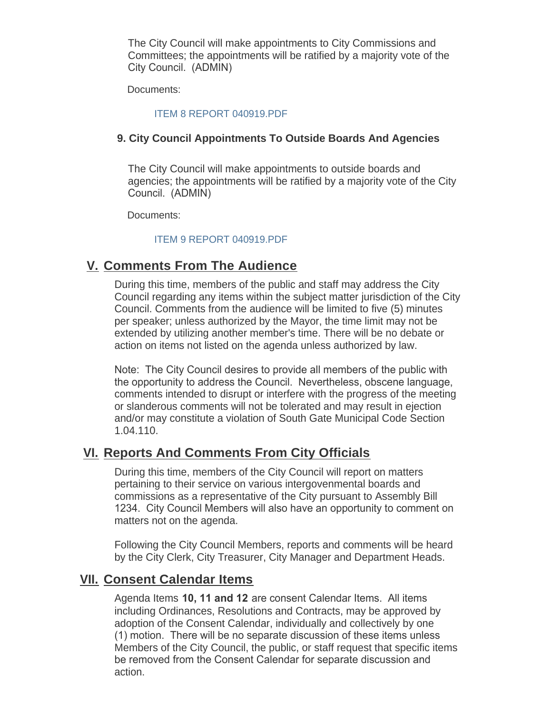The City Council will make appointments to City Commissions and Committees; the appointments will be ratified by a majority vote of the City Council. (ADMIN)

Documents:

#### [ITEM 8 REPORT 040919.PDF](http://ca-southgate.civicplus.com/AgendaCenter/ViewFile/Item/7399?fileID=17681)

#### **9. City Council Appointments To Outside Boards And Agencies**

The City Council will make appointments to outside boards and agencies; the appointments will be ratified by a majority vote of the City Council. (ADMIN)

Documents:

#### [ITEM 9 REPORT 040919.PDF](http://ca-southgate.civicplus.com/AgendaCenter/ViewFile/Item/7400?fileID=17682)

## **Comments From The Audience V.**

During this time, members of the public and staff may address the City Council regarding any items within the subject matter jurisdiction of the City Council. Comments from the audience will be limited to five (5) minutes per speaker; unless authorized by the Mayor, the time limit may not be extended by utilizing another member's time. There will be no debate or action on items not listed on the agenda unless authorized by law.

Note: The City Council desires to provide all members of the public with the opportunity to address the Council. Nevertheless, obscene language, comments intended to disrupt or interfere with the progress of the meeting or slanderous comments will not be tolerated and may result in ejection and/or may constitute a violation of South Gate Municipal Code Section 1.04.110.

## **Reports And Comments From City Officials VI.**

During this time, members of the City Council will report on matters pertaining to their service on various intergovenmental boards and commissions as a representative of the City pursuant to Assembly Bill 1234. City Council Members will also have an opportunity to comment on matters not on the agenda.

Following the City Council Members, reports and comments will be heard by the City Clerk, City Treasurer, City Manager and Department Heads.

### **Consent Calendar Items VII.**

Agenda Items **10, 11 and 12** are consent Calendar Items. All items including Ordinances, Resolutions and Contracts, may be approved by adoption of the Consent Calendar, individually and collectively by one (1) motion. There will be no separate discussion of these items unless Members of the City Council, the public, or staff request that specific items be removed from the Consent Calendar for separate discussion and action.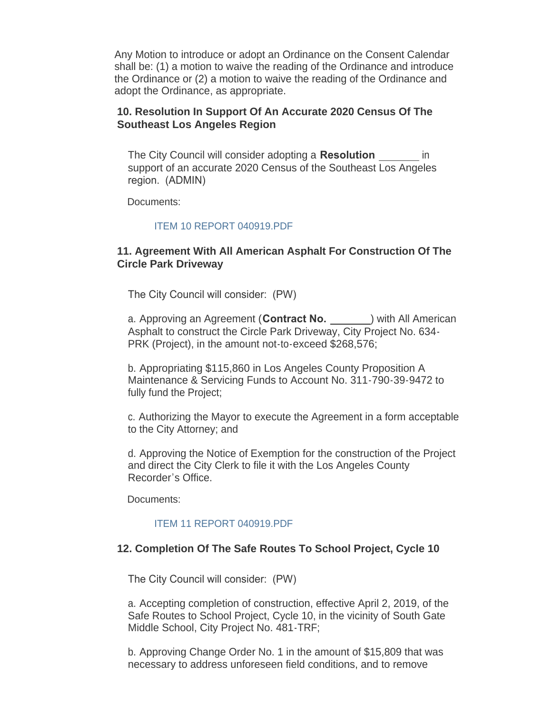Any Motion to introduce or adopt an Ordinance on the Consent Calendar shall be: (1) a motion to waive the reading of the Ordinance and introduce the Ordinance or (2) a motion to waive the reading of the Ordinance and adopt the Ordinance, as appropriate.

#### **10. Resolution In Support Of An Accurate 2020 Census Of The Southeast Los Angeles Region**

The City Council will consider adopting a **Resolution** in support of an accurate 2020 Census of the Southeast Los Angeles region. (ADMIN)

Documents:

#### [ITEM 10 REPORT 040919.PDF](http://ca-southgate.civicplus.com/AgendaCenter/ViewFile/Item/7401?fileID=17683)

#### **11. Agreement With All American Asphalt For Construction Of The Circle Park Driveway**

The City Council will consider: (PW)

a. Approving an Agreement (**Contract No.** 1995) with All American Asphalt to construct the Circle Park Driveway, City Project No. 634- PRK (Project), in the amount not-to-exceed \$268,576;

b. Appropriating \$115,860 in Los Angeles County Proposition A Maintenance & Servicing Funds to Account No. 311-790-39-9472 to fully fund the Project;

c. Authorizing the Mayor to execute the Agreement in a form acceptable to the City Attorney; and

d. Approving the Notice of Exemption for the construction of the Project and direct the City Clerk to file it with the Los Angeles County Recorder's Office.

Documents:

#### [ITEM 11 REPORT 040919.PDF](http://ca-southgate.civicplus.com/AgendaCenter/ViewFile/Item/7404?fileID=17692)

#### **12. Completion Of The Safe Routes To School Project, Cycle 10**

The City Council will consider: (PW)

a. Accepting completion of construction, effective April 2, 2019, of the Safe Routes to School Project, Cycle 10, in the vicinity of South Gate Middle School, City Project No. 481-TRF;

b. Approving Change Order No. 1 in the amount of \$15,809 that was necessary to address unforeseen field conditions, and to remove